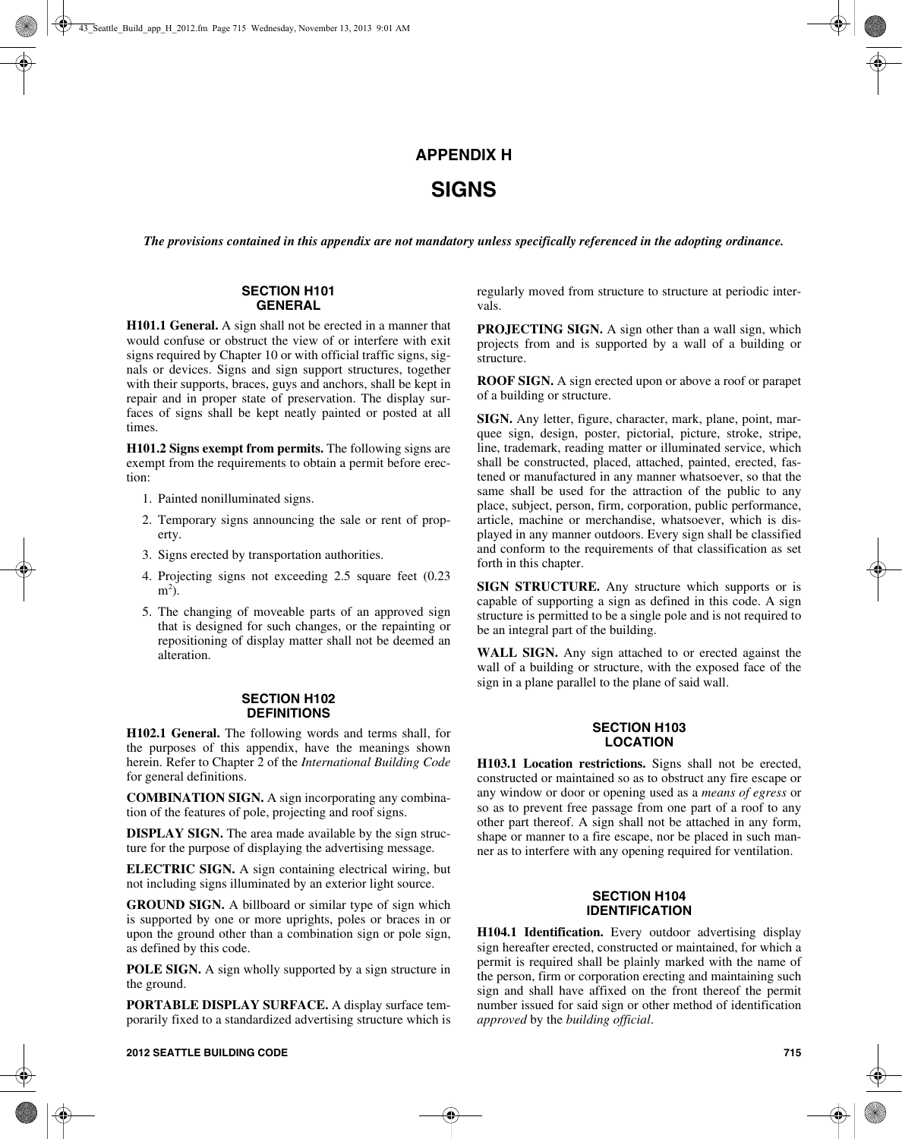# **APPENDIX H**

# **SIGNS**

*The provisions contained in this appendix are not mandatory unless specifically referenced in the adopting ordinance.*

#### **SECTION H101 GENERAL**

**H101.1 General.** A sign shall not be erected in a manner that would confuse or obstruct the view of or interfere with exit signs required by Chapter 10 or with official traffic signs, signals or devices. Signs and sign support structures, together with their supports, braces, guys and anchors, shall be kept in repair and in proper state of preservation. The display surfaces of signs shall be kept neatly painted or posted at all times.

**H101.2 Signs exempt from permits.** The following signs are exempt from the requirements to obtain a permit before erection:

- 1. Painted nonilluminated signs.
- 2. Temporary signs announcing the sale or rent of property.
- 3. Signs erected by transportation authorities.
- 4. Projecting signs not exceeding 2.5 square feet (0.23  $m<sup>2</sup>$ ).
- 5. The changing of moveable parts of an approved sign that is designed for such changes, or the repainting or repositioning of display matter shall not be deemed an alteration.

#### **SECTION H102 DEFINITIONS**

**H102.1 General.** The following words and terms shall, for the purposes of this appendix, have the meanings shown herein. Refer to Chapter 2 of the *International Building Code* for general definitions.

**COMBINATION SIGN.** A sign incorporating any combination of the features of pole, projecting and roof signs.

**DISPLAY SIGN.** The area made available by the sign structure for the purpose of displaying the advertising message.

**ELECTRIC SIGN.** A sign containing electrical wiring, but not including signs illuminated by an exterior light source.

**GROUND SIGN.** A billboard or similar type of sign which is supported by one or more uprights, poles or braces in or upon the ground other than a combination sign or pole sign, as defined by this code.

**POLE SIGN.** A sign wholly supported by a sign structure in the ground.

**PORTABLE DISPLAY SURFACE.** A display surface temporarily fixed to a standardized advertising structure which is regularly moved from structure to structure at periodic intervals.

**PROJECTING SIGN.** A sign other than a wall sign, which projects from and is supported by a wall of a building or structure.

**ROOF SIGN.** A sign erected upon or above a roof or parapet of a building or structure.

**SIGN.** Any letter, figure, character, mark, plane, point, marquee sign, design, poster, pictorial, picture, stroke, stripe, line, trademark, reading matter or illuminated service, which shall be constructed, placed, attached, painted, erected, fastened or manufactured in any manner whatsoever, so that the same shall be used for the attraction of the public to any place, subject, person, firm, corporation, public performance, article, machine or merchandise, whatsoever, which is displayed in any manner outdoors. Every sign shall be classified and conform to the requirements of that classification as set forth in this chapter.

**SIGN STRUCTURE.** Any structure which supports or is capable of supporting a sign as defined in this code. A sign structure is permitted to be a single pole and is not required to be an integral part of the building.

**WALL SIGN.** Any sign attached to or erected against the wall of a building or structure, with the exposed face of the sign in a plane parallel to the plane of said wall.

## **SECTION H103 LOCATION**

**H103.1 Location restrictions.** Signs shall not be erected, constructed or maintained so as to obstruct any fire escape or any window or door or opening used as a *means of egress* or so as to prevent free passage from one part of a roof to any other part thereof. A sign shall not be attached in any form, shape or manner to a fire escape, nor be placed in such manner as to interfere with any opening required for ventilation.

## **SECTION H104 IDENTIFICATION**

**H104.1 Identification.** Every outdoor advertising display sign hereafter erected, constructed or maintained, for which a permit is required shall be plainly marked with the name of the person, firm or corporation erecting and maintaining such sign and shall have affixed on the front thereof the permit number issued for said sign or other method of identification *approved* by the *building official*.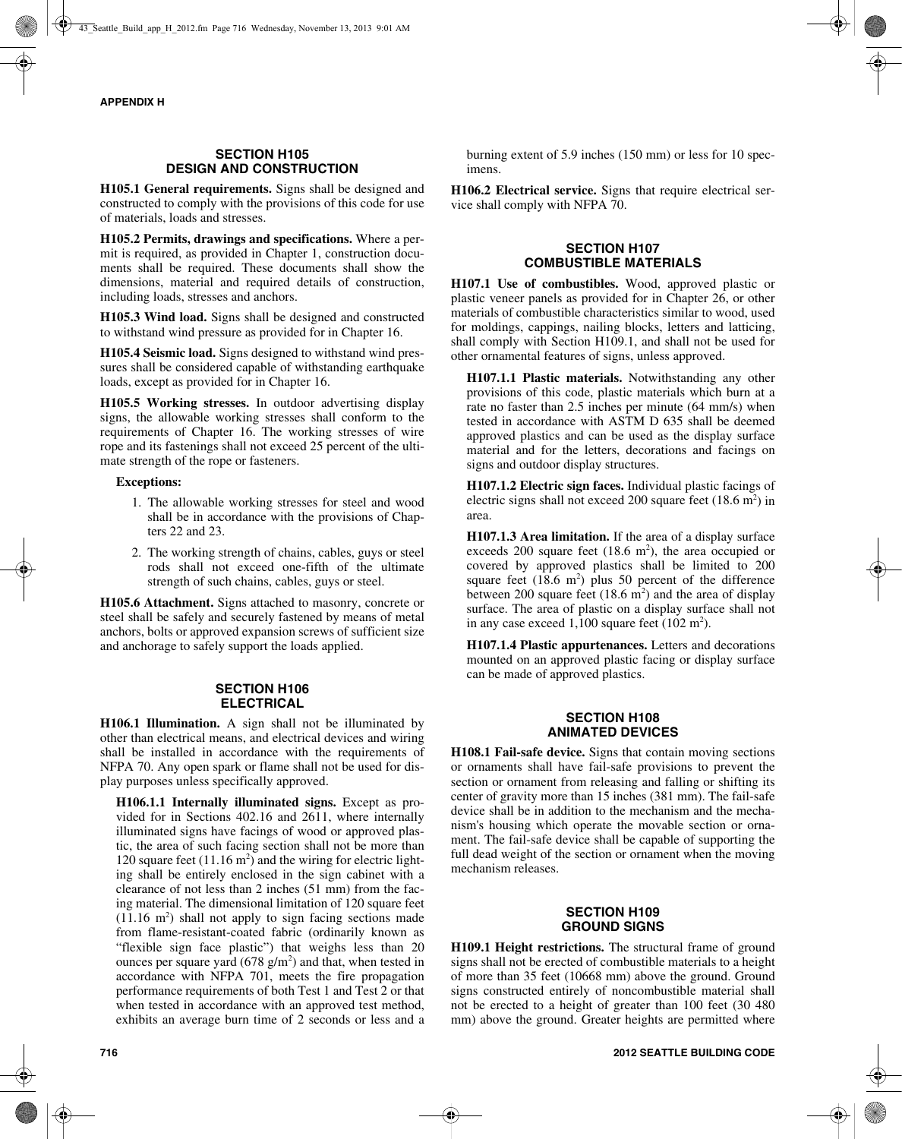# **SECTION H105 DESIGN AND CONSTRUCTION**

**H105.1 General requirements.** Signs shall be designed and constructed to comply with the provisions of this code for use of materials, loads and stresses.

**H105.2 Permits, drawings and specifications.** Where a permit is required, as provided in Chapter 1, construction documents shall be required. These documents shall show the dimensions, material and required details of construction, including loads, stresses and anchors.

**H105.3 Wind load.** Signs shall be designed and constructed to withstand wind pressure as provided for in Chapter 16.

**H105.4 Seismic load.** Signs designed to withstand wind pressures shall be considered capable of withstanding earthquake loads, except as provided for in Chapter 16.

**H105.5 Working stresses.** In outdoor advertising display signs, the allowable working stresses shall conform to the requirements of Chapter 16. The working stresses of wire rope and its fastenings shall not exceed 25 percent of the ultimate strength of the rope or fasteners.

## **Exceptions:**

- 1. The allowable working stresses for steel and wood shall be in accordance with the provisions of Chapters 22 and 23.
- 2. The working strength of chains, cables, guys or steel rods shall not exceed one-fifth of the ultimate strength of such chains, cables, guys or steel.

**H105.6 Attachment.** Signs attached to masonry, concrete or steel shall be safely and securely fastened by means of metal anchors, bolts or approved expansion screws of sufficient size and anchorage to safely support the loads applied.

## **SECTION H106 ELECTRICAL**

**H106.1 Illumination.** A sign shall not be illuminated by other than electrical means, and electrical devices and wiring shall be installed in accordance with the requirements of NFPA 70. Any open spark or flame shall not be used for display purposes unless specifically approved.

**H106.1.1 Internally illuminated signs.** Except as provided for in Sections 402.16 and 2611, where internally illuminated signs have facings of wood or approved plastic, the area of such facing section shall not be more than 120 square feet  $(11.16 \text{ m}^2)$  and the wiring for electric lighting shall be entirely enclosed in the sign cabinet with a clearance of not less than 2 inches (51 mm) from the facing material. The dimensional limitation of 120 square feet  $(11.16 \text{ m}^2)$  shall not apply to sign facing sections made from flame-resistant-coated fabric (ordinarily known as "flexible sign face plastic") that weighs less than 20 ounces per square yard  $(678 \text{ g/m}^2)$  and that, when tested in accordance with NFPA 701, meets the fire propagation performance requirements of both Test 1 and Test 2 or that when tested in accordance with an approved test method, exhibits an average burn time of 2 seconds or less and a burning extent of 5.9 inches (150 mm) or less for 10 specimens.

**H106.2 Electrical service.** Signs that require electrical service shall comply with NFPA 70.

### **SECTION H107 COMBUSTIBLE MATERIALS**

**H107.1 Use of combustibles.** Wood, approved plastic or plastic veneer panels as provided for in Chapter 26, or other materials of combustible characteristics similar to wood, used for moldings, cappings, nailing blocks, letters and latticing, shall comply with Section H109.1, and shall not be used for other ornamental features of signs, unless approved.

**H107.1.1 Plastic materials.** Notwithstanding any other provisions of this code, plastic materials which burn at a rate no faster than 2.5 inches per minute (64 mm/s) when tested in accordance with ASTM D 635 shall be deemed approved plastics and can be used as the display surface material and for the letters, decorations and facings on signs and outdoor display structures.

**H107.1.2 Electric sign faces.** Individual plastic facings of electric signs shall not exceed 200 square feet  $(18.6 \text{ m}^2)$  in area.

**H107.1.3 Area limitation.** If the area of a display surface exceeds 200 square feet  $(18.6 \text{ m}^2)$ , the area occupied or covered by approved plastics shall be limited to 200 square feet  $(18.6 \text{ m}^2)$  plus 50 percent of the difference between 200 square feet  $(18.6 \text{ m}^2)$  and the area of display surface. The area of plastic on a display surface shall not in any case exceed  $1,100$  square feet  $(102 \text{ m}^2)$ .

**H107.1.4 Plastic appurtenances.** Letters and decorations mounted on an approved plastic facing or display surface can be made of approved plastics.

## **SECTION H108 ANIMATED DEVICES**

**H108.1 Fail-safe device.** Signs that contain moving sections or ornaments shall have fail-safe provisions to prevent the section or ornament from releasing and falling or shifting its center of gravity more than 15 inches (381 mm). The fail-safe device shall be in addition to the mechanism and the mechanism's housing which operate the movable section or ornament. The fail-safe device shall be capable of supporting the full dead weight of the section or ornament when the moving mechanism releases.

## **SECTION H109 GROUND SIGNS**

**H109.1 Height restrictions.** The structural frame of ground signs shall not be erected of combustible materials to a height of more than 35 feet (10668 mm) above the ground. Ground signs constructed entirely of noncombustible material shall not be erected to a height of greater than 100 feet (30 480 mm) above the ground. Greater heights are permitted where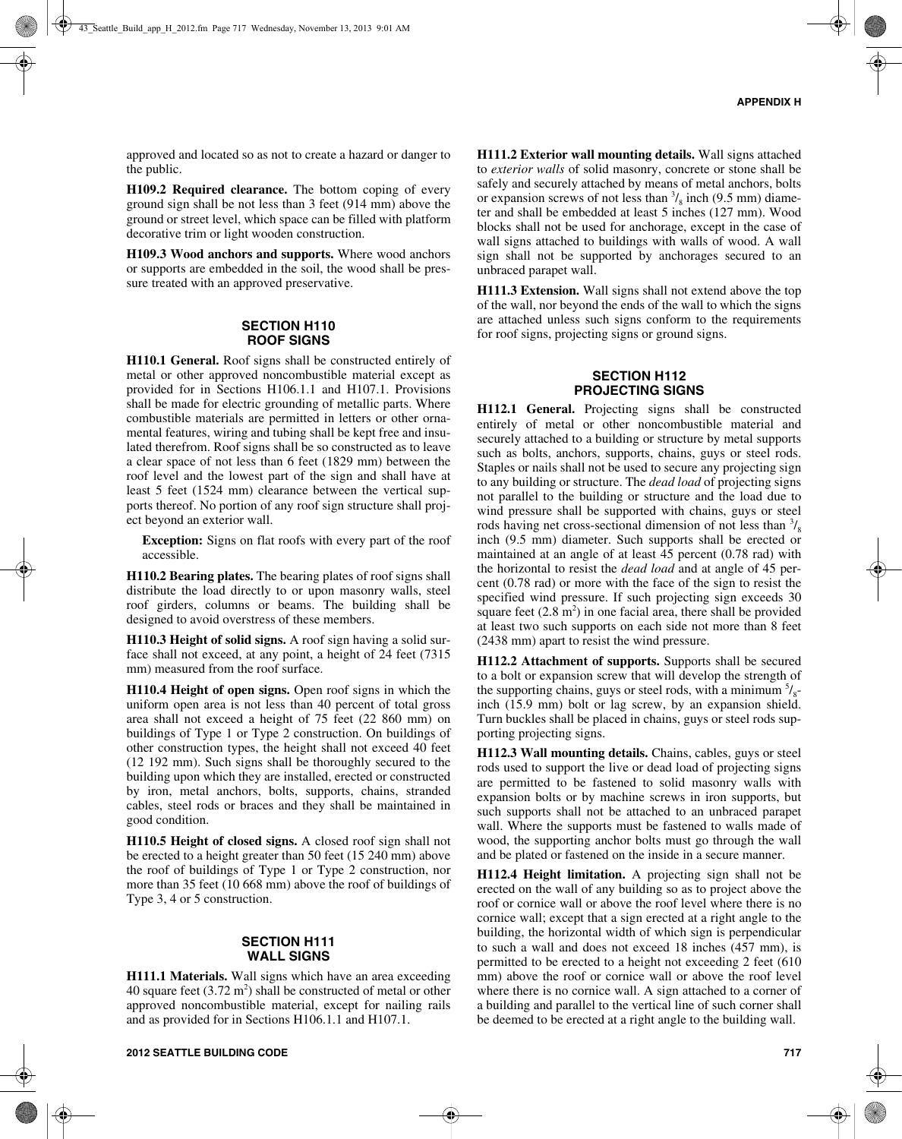approved and located so as not to create a hazard or danger to the public.

**H109.2 Required clearance.** The bottom coping of every ground sign shall be not less than 3 feet (914 mm) above the ground or street level, which space can be filled with platform decorative trim or light wooden construction.

**H109.3 Wood anchors and supports.** Where wood anchors or supports are embedded in the soil, the wood shall be pressure treated with an approved preservative.

#### **SECTION H110 ROOF SIGNS**

**H110.1 General.** Roof signs shall be constructed entirely of metal or other approved noncombustible material except as provided for in Sections H106.1.1 and H107.1. Provisions shall be made for electric grounding of metallic parts. Where combustible materials are permitted in letters or other ornamental features, wiring and tubing shall be kept free and insulated therefrom. Roof signs shall be so constructed as to leave a clear space of not less than 6 feet (1829 mm) between the roof level and the lowest part of the sign and shall have at least 5 feet (1524 mm) clearance between the vertical supports thereof. No portion of any roof sign structure shall project beyond an exterior wall.

**Exception:** Signs on flat roofs with every part of the roof accessible.

**H110.2 Bearing plates.** The bearing plates of roof signs shall distribute the load directly to or upon masonry walls, steel roof girders, columns or beams. The building shall be designed to avoid overstress of these members.

**H110.3 Height of solid signs.** A roof sign having a solid surface shall not exceed, at any point, a height of 24 feet (7315 mm) measured from the roof surface.

**H110.4 Height of open signs.** Open roof signs in which the uniform open area is not less than 40 percent of total gross area shall not exceed a height of 75 feet (22 860 mm) on buildings of Type 1 or Type 2 construction. On buildings of other construction types, the height shall not exceed 40 feet (12 192 mm). Such signs shall be thoroughly secured to the building upon which they are installed, erected or constructed by iron, metal anchors, bolts, supports, chains, stranded cables, steel rods or braces and they shall be maintained in good condition.

**H110.5 Height of closed signs.** A closed roof sign shall not be erected to a height greater than 50 feet (15 240 mm) above the roof of buildings of Type 1 or Type 2 construction, nor more than 35 feet (10 668 mm) above the roof of buildings of Type 3, 4 or 5 construction.

## **SECTION H111 WALL SIGNS**

**H111.1 Materials.** Wall signs which have an area exceeding 40 square feet  $(3.72 \text{ m}^2)$  shall be constructed of metal or other approved noncombustible material, except for nailing rails and as provided for in Sections H106.1.1 and H107.1.

**H111.2 Exterior wall mounting details.** Wall signs attached to *exterior walls* of solid masonry, concrete or stone shall be safely and securely attached by means of metal anchors, bolts or expansion screws of not less than  $\frac{3}{8}$  inch (9.5 mm) diameter and shall be embedded at least 5 inches (127 mm). Wood blocks shall not be used for anchorage, except in the case of wall signs attached to buildings with walls of wood. A wall sign shall not be supported by anchorages secured to an unbraced parapet wall.

**H111.3 Extension.** Wall signs shall not extend above the top of the wall, nor beyond the ends of the wall to which the signs are attached unless such signs conform to the requirements for roof signs, projecting signs or ground signs.

## **SECTION H112 PROJECTING SIGNS**

**H112.1 General.** Projecting signs shall be constructed entirely of metal or other noncombustible material and securely attached to a building or structure by metal supports such as bolts, anchors, supports, chains, guys or steel rods. Staples or nails shall not be used to secure any projecting sign to any building or structure. The *dead load* of projecting signs not parallel to the building or structure and the load due to wind pressure shall be supported with chains, guys or steel rods having net cross-sectional dimension of not less than  $\frac{3}{8}$ inch (9.5 mm) diameter. Such supports shall be erected or maintained at an angle of at least 45 percent (0.78 rad) with the horizontal to resist the *dead load* and at angle of 45 percent (0.78 rad) or more with the face of the sign to resist the specified wind pressure. If such projecting sign exceeds 30 square feet  $(2.8 \text{ m}^2)$  in one facial area, there shall be provided at least two such supports on each side not more than 8 feet (2438 mm) apart to resist the wind pressure.

**H112.2 Attachment of supports.** Supports shall be secured to a bolt or expansion screw that will develop the strength of the supporting chains, guys or steel rods, with a minimum  $\frac{5}{8}$ inch (15.9 mm) bolt or lag screw, by an expansion shield. Turn buckles shall be placed in chains, guys or steel rods supporting projecting signs.

**H112.3 Wall mounting details.** Chains, cables, guys or steel rods used to support the live or dead load of projecting signs are permitted to be fastened to solid masonry walls with expansion bolts or by machine screws in iron supports, but such supports shall not be attached to an unbraced parapet wall. Where the supports must be fastened to walls made of wood, the supporting anchor bolts must go through the wall and be plated or fastened on the inside in a secure manner.

**H112.4 Height limitation.** A projecting sign shall not be erected on the wall of any building so as to project above the roof or cornice wall or above the roof level where there is no cornice wall; except that a sign erected at a right angle to the building, the horizontal width of which sign is perpendicular to such a wall and does not exceed 18 inches (457 mm), is permitted to be erected to a height not exceeding 2 feet (610 mm) above the roof or cornice wall or above the roof level where there is no cornice wall. A sign attached to a corner of a building and parallel to the vertical line of such corner shall be deemed to be erected at a right angle to the building wall.